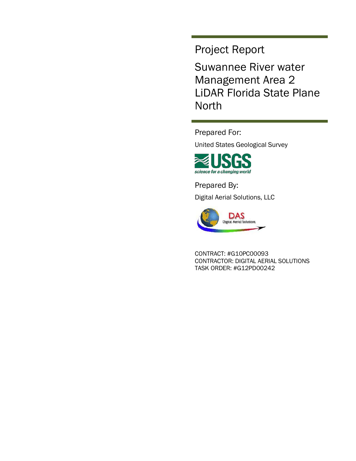Project Report

Suwannee River water Management Area 2 LiDAR Florida State Plane North

Prepared For:

United States Geological Survey



Prepared By:

Digital Aerial Solutions, LLC



CONTRACT: #G10PC00093 CONTRACTOR: DIGITAL AERIAL SOLUTIONS TASK ORDER: #G12PD00242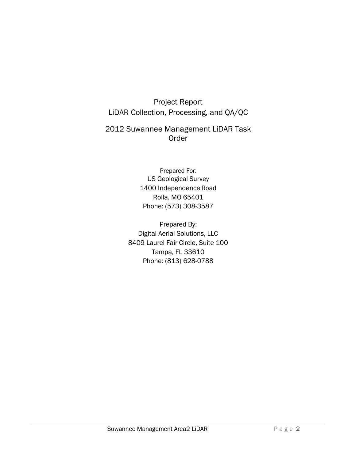# Project Report LiDAR Collection, Processing, and QA/QC

# 2012 Suwannee Management LiDAR Task Order

Prepared For: US Geological Survey 1400 Independence Road Rolla, MO 65401 Phone: (573) 308-3587

Prepared By: Digital Aerial Solutions, LLC 8409 Laurel Fair Circle, Suite 100 Tampa, FL 33610 Phone: (813) 628-0788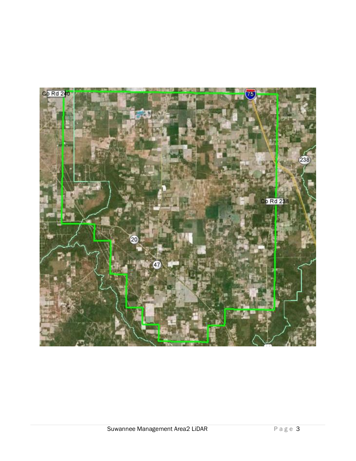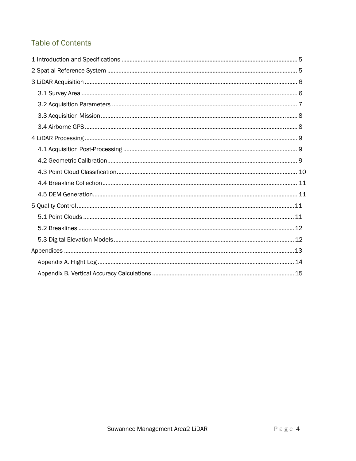# **Table of Contents**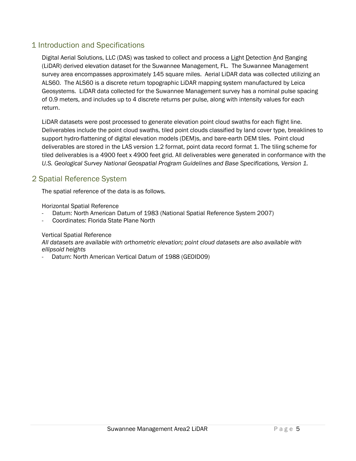# 1 Introduction and Specifications

Digital Aerial Solutions, LLC (DAS) was tasked to collect and process a Light Detection And Ranging (LiDAR) derived elevation dataset for the Suwannee Management, FL. The Suwannee Management survey area encompasses approximately 145 square miles. Aerial LiDAR data was collected utilizing an ALS60. The ALS60 is a discrete return topographic LiDAR mapping system manufactured by Leica Geosystems. LiDAR data collected for the Suwannee Management survey has a nominal pulse spacing of 0.9 meters, and includes up to 4 discrete returns per pulse, along with intensity values for each return.

LiDAR datasets were post processed to generate elevation point cloud swaths for each flight line. Deliverables include the point cloud swaths, tiled point clouds classified by land cover type, breaklines to support hydro-flattening of digital elevation models (DEM)s, and bare-earth DEM tiles. Point cloud deliverables are stored in the LAS version 1.2 format, point data record format 1. The tiling scheme for tiled deliverables is a 4900 feet x 4900 feet grid. All deliverables were generated in conformance with the *U.S. Geological Survey National Geospatial Program Guidelines and Base Specifications, Version 1.*

# 2 Spatial Reference System

The spatial reference of the data is as follows.

Horizontal Spatial Reference

- Datum: North American Datum of 1983 (National Spatial Reference System 2007)
- Coordinates: Florida State Plane North

#### Vertical Spatial Reference

*All datasets are available with orthometric elevation; point cloud datasets are also available with ellipsoid heights*

Datum: North American Vertical Datum of 1988 (GEOID09)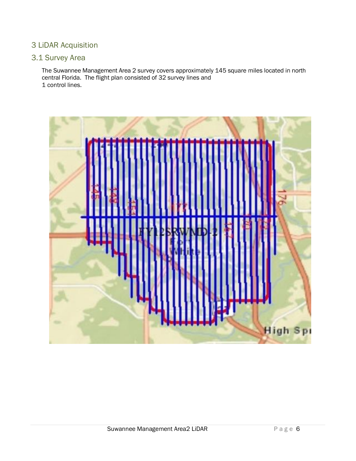# 3 LiDAR Acquisition

## 3.1 Survey Area

The Suwannee Management Area 2 survey covers approximately 145 square miles located in north central Florida. The flight plan consisted of 32 survey lines and 1 control lines.

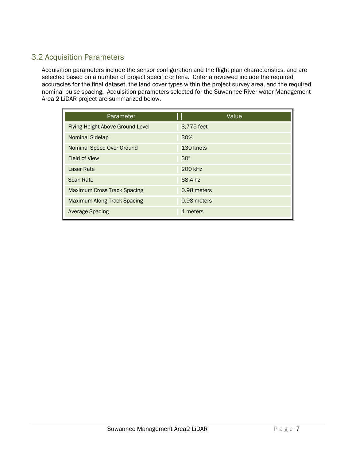# 3.2 Acquisition Parameters

Acquisition parameters include the sensor configuration and the flight plan characteristics, and are selected based on a number of project specific criteria. Criteria reviewed include the required accuracies for the final dataset, the land cover types within the project survey area, and the required nominal pulse spacing. Acquisition parameters selected for the Suwannee River water Management Area 2 LiDAR project are summarized below.

| Parameter                          | Value       |  |  |  |  |  |  |
|------------------------------------|-------------|--|--|--|--|--|--|
| Flying Height Above Ground Level   | 3,775 feet  |  |  |  |  |  |  |
| <b>Nominal Sidelap</b>             | 30%         |  |  |  |  |  |  |
| Nominal Speed Over Ground          | 130 knots   |  |  |  |  |  |  |
| Field of View                      | $30^\circ$  |  |  |  |  |  |  |
| <b>Laser Rate</b>                  | 200 kHz     |  |  |  |  |  |  |
| <b>Scan Rate</b>                   | 68.4 hz     |  |  |  |  |  |  |
| <b>Maximum Cross Track Spacing</b> | 0.98 meters |  |  |  |  |  |  |
| <b>Maximum Along Track Spacing</b> | 0.98 meters |  |  |  |  |  |  |
| <b>Average Spacing</b>             | 1 meters    |  |  |  |  |  |  |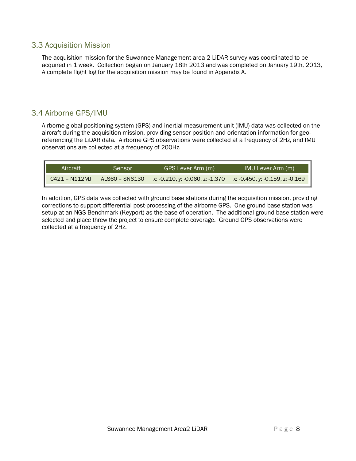## 3.3 Acquisition Mission

The acquisition mission for the Suwannee Management area 2 LiDAR survey was coordinated to be acquired in 1 week. Collection began on January 18th 2013 and was completed on January 19th, 2013, A complete flight log for the acquisition mission may be found in Appendix A.

## 3.4 Airborne GPS/IMU

Airborne global positioning system (GPS) and inertial measurement unit (IMU) data was collected on the aircraft during the acquisition mission, providing sensor position and orientation information for georeferencing the LiDAR data. Airborne GPS observations were collected at a frequency of 2Hz, and IMU observations are collected at a frequency of 200Hz.

| Aircraft       | Sensor         | GPS Lever Arm (m)               | <b>IMU Lever Arm (m)</b>        |  |  |  |
|----------------|----------------|---------------------------------|---------------------------------|--|--|--|
| $C421 - N112M$ | ALS60 - SN6130 | x: -0.210, y: -0.060, z: -1.370 | x: -0.450, y: -0.159, z: -0.169 |  |  |  |

In addition, GPS data was collected with ground base stations during the acquisition mission, providing corrections to support differential post-processing of the airborne GPS. One ground base station was setup at an NGS Benchmark (Keyport) as the base of operation. The additional ground base station were selected and place threw the project to ensure complete coverage. Ground GPS observations were collected at a frequency of 2Hz.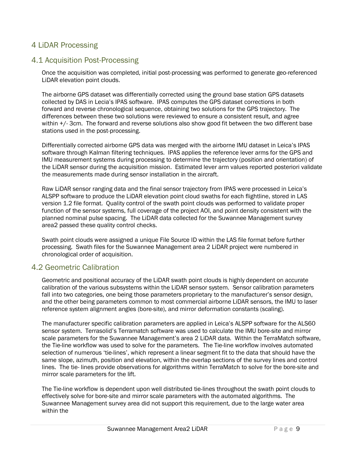## 4 LiDAR Processing

## 4.1 Acquisition Post-Processing

Once the acquisition was completed, initial post-processing was performed to generate geo-referenced LiDAR elevation point clouds.

The airborne GPS dataset was differentially corrected using the ground base station GPS datasets collected by DAS in Lecia's IPAS software. IPAS computes the GPS dataset corrections in both forward and reverse chronological sequence, obtaining two solutions for the GPS trajectory. The differences between these two solutions were reviewed to ensure a consistent result, and agree within  $+/$ -3cm. The forward and reverse solutions also show good fit between the two different base stations used in the post-processing.

Differentially corrected airborne GPS data was merged with the airborne IMU dataset in Leica's IPAS software through Kalman filtering techniques. IPAS applies the reference lever arms for the GPS and IMU measurement systems during processing to determine the trajectory (position and orientation) of the LiDAR sensor during the acquisition mission. Estimated lever arm values reported posteriori validate the measurements made during sensor installation in the aircraft.

Raw LiDAR sensor ranging data and the final sensor trajectory from IPAS were processed in Leica's ALSPP software to produce the LiDAR elevation point cloud swaths for each flightline, stored in LAS version 1.2 file format. Quality control of the swath point clouds was performed to validate proper function of the sensor systems, full coverage of the project AOI, and point density consistent with the planned nominal pulse spacing. The LiDAR data collected for the Suwannee Management survey area2 passed these quality control checks.

Swath point clouds were assigned a unique File Source ID within the LAS file format before further processing. Swath files for the Suwannee Management area 2 LiDAR project were numbered in chronological order of acquisition.

## 4.2 Geometric Calibration

Geometric and positional accuracy of the LiDAR swath point clouds is highly dependent on accurate calibration of the various subsystems within the LiDAR sensor system. Sensor calibration parameters fall into two categories, one being those parameters proprietary to the manufacturer's sensor design, and the other being parameters common to most commercial airborne LiDAR sensors, the IMU to laser reference system alignment angles (bore-site), and mirror deformation constants (scaling).

The manufacturer specific calibration parameters are applied in Leica's ALSPP software for the ALS60 sensor system. Terrasolid's Terramatch software was used to calculate the IMU bore-site and mirror scale parameters for the Suwannee Management's area 2 LiDAR data. Within the TerraMatch software, the Tie-line workflow was used to solve for the parameters. The Tie-line workflow involves automated selection of numerous 'tie-lines', which represent a linear segment fit to the data that should have the same slope, azimuth, position and elevation, within the overlap sections of the survey lines and control lines. The tie- lines provide observations for algorithms within TerraMatch to solve for the bore-site and mirror scale parameters for the lift.

The Tie-line workflow is dependent upon well distributed tie-lines throughout the swath point clouds to effectively solve for bore-site and mirror scale parameters with the automated algorithms. The Suwannee Management survey area did not support this requirement, due to the large water area within the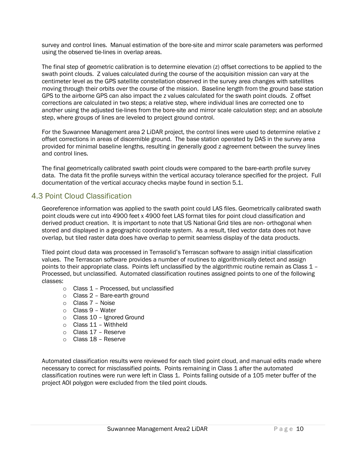survey and control lines. Manual estimation of the bore-site and mirror scale parameters was performed using the observed tie-lines in overlap areas.

The final step of geometric calibration is to determine elevation (z) offset corrections to be applied to the swath point clouds. Z values calculated during the course of the acquisition mission can vary at the centimeter level as the GPS satellite constellation observed in the survey area changes with satellites moving through their orbits over the course of the mission. Baseline length from the ground base station GPS to the airborne GPS can also impact the z values calculated for the swath point clouds. Z offset corrections are calculated in two steps; a relative step, where individual lines are corrected one to another using the adjusted tie-lines from the bore-site and mirror scale calculation step; and an absolute step, where groups of lines are leveled to project ground control.

For the Suwannee Management area 2 LiDAR project, the control lines were used to determine relative z offset corrections in areas of discernible ground. The base station operated by DAS in the survey area provided for minimal baseline lengths, resulting in generally good z agreement between the survey lines and control lines.

The final geometrically calibrated swath point clouds were compared to the bare-earth profile survey data. The data fit the profile surveys within the vertical accuracy tolerance specified for the project. Full documentation of the vertical accuracy checks maybe found in section 5.1.

## 4.3 Point Cloud Classification

Georeference information was applied to the swath point could LAS files. Geometrically calibrated swath point clouds were cut into 4900 feet x 4900 feet LAS format tiles for point cloud classification and derived product creation. It is important to note that US National Grid tiles are non- orthogonal when stored and displayed in a geographic coordinate system. As a result, tiled vector data does not have overlap, but tiled raster data does have overlap to permit seamless display of the data products.

Tiled point cloud data was processed in Terrasolid's Terrascan software to assign initial classification values. The Terrascan software provides a number of routines to algorithmically detect and assign points to their appropriate class. Points left unclassified by the algorithmic routine remain as Class 1 – Processed, but unclassified. Automated classification routines assigned points to one of the following classes:

- o Class 1 Processed, but unclassified
- o Class 2 Bare-earth ground
- o Class 7 Noise
- o Class 9 Water
- o Class 10 Ignored Ground
- o Class 11 Withheld
- o Class 17 Reserve
- o Class 18 Reserve

Automated classification results were reviewed for each tiled point cloud, and manual edits made where necessary to correct for misclassified points. Points remaining in Class 1 after the automated classification routines were run were left in Class 1. Points falling outside of a 105 meter buffer of the project AOI polygon were excluded from the tiled point clouds.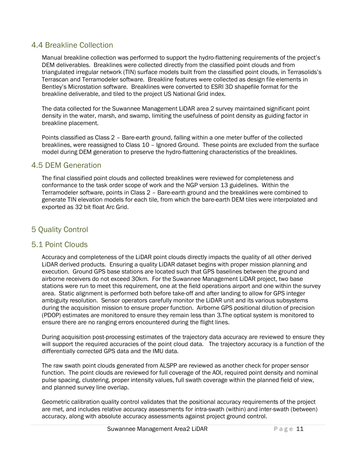## 4.4 Breakline Collection

Manual breakline collection was performed to support the hydro-flattening requirements of the project's DEM deliverables. Breaklines were collected directly from the classified point clouds and from triangulated irregular network (TIN) surface models built from the classified point clouds, in Terrasolids's Terrascan and Terramodeler software. Breakline features were collected as design file elements in Bentley's Microstation software. Breaklines were converted to ESRI 3D shapefile format for the breakline deliverable, and tiled to the project US National Grid index.

The data collected for the Suwannee Management LiDAR area 2 survey maintained significant point density in the water, marsh, and swamp, limiting the usefulness of point density as guiding factor in breakline placement.

Points classified as Class 2 – Bare-earth ground, falling within a one meter buffer of the collected breaklines, were reassigned to Class 10 – Ignored Ground. These points are excluded from the surface model during DEM generation to preserve the hydro-flattening characteristics of the breaklines.

### 4.5 DEM Generation

The final classified point clouds and collected breaklines were reviewed for completeness and conformance to the task order scope of work and the NGP version 13 guidelines. Within the Terramodeler software, points in Class 2 – Bare-earth ground and the breaklines were combined to generate TIN elevation models for each tile, from which the bare-earth DEM tiles were interpolated and exported as 32 bit float Arc Grid.

## 5 Quality Control

#### 5.1 Point Clouds

Accuracy and completeness of the LiDAR point clouds directly impacts the quality of all other derived LiDAR derived products. Ensuring a quality LiDAR dataset begins with proper mission planning and execution. Ground GPS base stations are located such that GPS baselines between the ground and airborne receivers do not exceed 30km. For the Suwannee Management LiDAR project, two base stations were run to meet this requirement, one at the field operations airport and one within the survey area. Static alignment is performed both before take-off and after landing to allow for GPS integer ambiguity resolution. Sensor operators carefully monitor the LiDAR unit and its various subsystems during the acquisition mission to ensure proper function. Airborne GPS positional dilution of precision (PDOP) estimates are monitored to ensure they remain less than 3.The optical system is monitored to ensure there are no ranging errors encountered during the flight lines.

During acquisition post-processing estimates of the trajectory data accuracy are reviewed to ensure they will support the required accuracies of the point cloud data. The trajectory accuracy is a function of the differentially corrected GPS data and the IMU data.

The raw swath point clouds generated from ALSPP are reviewed as another check for proper sensor function. The point clouds are reviewed for full coverage of the AOI, required point density and nominal pulse spacing, clustering, proper intensity values, full swath coverage within the planned field of view, and planned survey line overlap.

Geometric calibration quality control validates that the positional accuracy requirements of the project are met, and includes relative accuracy assessments for intra-swath (within) and inter-swath (between) accuracy, along with absolute accuracy assessments against project ground control.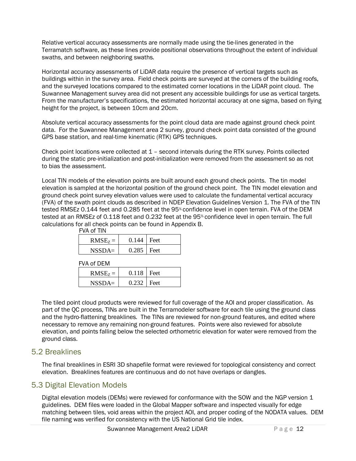Relative vertical accuracy assessments are normally made using the tie-lines generated in the Terramatch software, as these lines provide positional observations throughout the extent of individual swaths, and between neighboring swaths.

Horizontal accuracy assessments of LiDAR data require the presence of vertical targets such as buildings within in the survey area. Field check points are surveyed at the corners of the building roofs, and the surveyed locations compared to the estimated corner locations in the LiDAR point cloud. The Suwannee Management survey area did not present any accessible buildings for use as vertical targets. From the manufacturer's specifications, the estimated horizontal accuracy at one sigma, based on flying height for the project, is between 10cm and 20cm.

Absolute vertical accuracy assessments for the point cloud data are made against ground check point data. For the Suwannee Management area 2 survey, ground check point data consisted of the ground GPS base station, and real-time kinematic (RTK) GPS techniques.

Check point locations were collected at 1 – second intervals during the RTK survey. Points collected during the static pre-initialization and post-initialization were removed from the assessment so as not to bias the assessment.

Local TIN models of the elevation points are built around each ground check points. The tin model elevation is sampled at the horizontal position of the ground check point. The TIN model elevation and ground check point survey elevation values were used to calculate the fundamental vertical accuracy (FVA) of the swath point clouds as described in NDEP Elevation Guidelines Version 1. The FVA of the TIN tested RMSEz 0.144 feet and 0.285 feet at the 95% confidence level in open terrain. FVA of the DEM tested at an RMSEz of 0.118 feet and 0.232 feet at the 95% confidence level in open terrain. The full calculations for all check points can be found in Appendix B.

| <b>FVA of TIN</b> |              |  |
|-------------------|--------------|--|
| $RMSEz =$         | $0.144$ Feet |  |
| $NSSDA=$          | $0.285$ Feet |  |

FVA of DEM

| $RMSEz =$ | $0.118$ Feet |  |
|-----------|--------------|--|
| $NSSDA=$  | $0.232$ Feet |  |
|           |              |  |

The tiled point cloud products were reviewed for full coverage of the AOI and proper classification. As part of the QC process, TINs are built in the Terramodeler software for each tile using the ground class and the hydro-flattening breaklines. The TINs are reviewed for non-ground features, and edited where necessary to remove any remaining non-ground features. Points were also reviewed for absolute elevation, and points falling below the selected orthometric elevation for water were removed from the ground class.

## 5.2 Breaklines

The final breaklines in ESRI 3D shapefile format were reviewed for topological consistency and correct elevation. Breaklines features are continuous and do not have overlaps or dangles.

# 5.3 Digital Elevation Models

Digital elevation models (DEMs) were reviewed for conformance with the SOW and the NGP version 1 guidelines. DEM files were loaded in the Global Mapper software and inspected visually for edge matching between tiles, void areas within the project AOI, and proper coding of the NODATA values. DEM file naming was verified for consistency with the US National Grid tile index.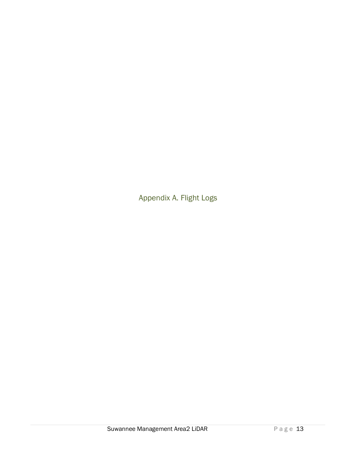Appendix A. Flight Logs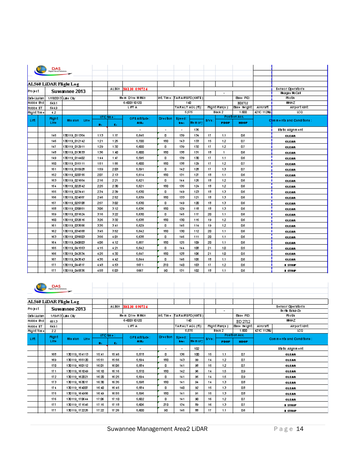|                        |                           | <b>DAS</b><br>Digital Aerod Solutions |                 |                |                                |                  |                              |                          |          |                                       |          |                          |                        |                           |               |
|------------------------|---------------------------|---------------------------------------|-----------------|----------------|--------------------------------|------------------|------------------------------|--------------------------|----------|---------------------------------------|----------|--------------------------|------------------------|---------------------------|---------------|
|                        |                           |                                       |                 |                |                                |                  |                              |                          |          |                                       |          |                          |                        |                           |               |
|                        |                           |                                       |                 |                |                                |                  |                              |                          |          |                                       |          |                          |                        |                           |               |
| ALS60 LiDAR Flight Log |                           |                                       |                 |                |                                |                  |                              |                          |          |                                       |          |                          |                        |                           |               |
|                        |                           |                                       |                 | ALS60          | N6130 090724                   |                  |                              |                          |          |                                       |          |                          | Sensor Operator/s      |                           |               |
|                        | Suwannee 2013<br>Pro jest |                                       |                 |                |                                |                  |                              |                          |          |                                       |          | $\overline{\phantom{0}}$ |                        |                           | Meagan McCall |
| Date /Julian           |                           | 1/18/2013 Lake City                   |                 |                |                                | Me m Crive M M60 | Int Time:                    | <b>TARAIRSPD(KNTS)</b>   |          |                                       |          | Base PID:                |                        | Plot/1                    |               |
| Hobbs Bid              |                           | 649.1                                 |                 |                | 6-600110120                    |                  |                              | 140                      |          |                                       |          | <b>BD2712</b>            |                        | <b>MARZ</b>               |               |
| Hobb: ST               |                           | 6449                                  |                 |                |                                | <b>LIFT A</b>    |                              | TARALT AGL (ft):         | 5,575    | $HighFBan(1)$ :<br>Block <sub>2</sub> |          | Bare Height:<br>1.500    | Alreraft<br>421C 112MJ | Airport Idnt:<br>LCQ.     |               |
| Hight Time             |                           | $+2$                                  |                 |                | $UTC \, \text{Im} \, \theta$ : |                  |                              |                          |          |                                       |          | Position Acc.            |                        |                           |               |
| Lift                   |                           | <b>Hight</b><br>Line                  | Mission Line    |                |                                | GPS Altitude:    | <b>Drection</b>              | Speed:                   | Me m on: | S/Vil:                                | PDOP     |                          |                        | Comments and Conditions : |               |
|                        |                           |                                       |                 | B <sub>z</sub> | Er.                            | ASL:             |                              | ktro                     |          |                                       |          | <b>HDOP</b>              |                        |                           |               |
|                        |                           |                                       |                 |                |                                |                  | $\qquad \qquad \blacksquare$ | $\overline{\phantom{0}}$ | 135      |                                       |          |                          |                        | Static Alignment          |               |
|                        |                           | 145                                   | 130119_011354   | 1:13           | 1:17                           | 5,615            | 0                            | 139                      | 134      | 17                                    | 1.1      | 0.6                      |                        | CLEAR                     |               |
|                        |                           | 146                                   | 1301190112142   | 121            | 125                            | 5.700            | 180                          | 143                      | 133      | 15                                    | 12       | 0.7                      |                        | CLEAR                     |               |
|                        |                           | 147                                   | 130119_012911   | 129            | 1.32                           | 5,600            | $\Box$                       | 139                      | 132      | 17                                    | 12       | 0.7                      |                        | CLEAR                     |               |
|                        |                           | 148                                   | 130119_013633   | 136            | 1:40                           | 5,600            | 180                          | 138                      | 131      | 18                                    | 1        | <b>D.6</b>               |                        | CLEAR                     |               |
|                        |                           | 149                                   | 13011901402     | 1:44           | 1:47                           | 5,595            | 0                            | 139                      | 130      | 17                                    | 1.1      | 0.6                      |                        | CLEAR                     |               |
|                        |                           | 150                                   | 130119 015111   | 151            | 1.55                           | 5,600            | 180                          | 138                      | 129      | 17                                    | 12       | 0.7                      |                        | CLEAR                     |               |
|                        |                           | 151                                   | 130119 015923   | 159            | 213                            | 5,591            | $\Box$                       | 142                      | 128      | 17                                    | 1,3      | 0.7                      |                        | CLEAR                     |               |
|                        |                           | 152                                   | 130119020755    | 207            | 2:13                           | 5,614            | 180                          | 131                      | 127      | 18                                    | 1.1      | O.6                      |                        | CLEAR                     |               |
|                        |                           | 153                                   | 130119_021654   | 2:16           | 221                            | 5,621            | $\Box$                       | 144                      | 125      | 18                                    | 12       | 0.6                      |                        | CLEAR                     |               |
|                        |                           | 154                                   | 130119022542    | 225            | 250                            | 5.621            | 180                          | 135                      | 124      | 18                                    | 12       | O.6                      |                        | CLEAR                     |               |
|                        |                           | 155                                   | 130119 023441   | 234            | 2.39                           | 5,630            | $\Box$                       | 149                      | 123      | 18                                    | 1,3      | <b>D.6</b>               |                        | CLEAR                     |               |
|                        |                           | 156                                   | 130119_024657   | 2:46           | 2.52                           | 5,639            | 180                          | 133                      | 121      | 18                                    | 1.3      | O.6                      |                        | CLEAR                     |               |
|                        |                           | 157                                   | 130119025708    | 257            | 3112                           | 5,630            | $\Box$                       | 149                      | 120      | 18                                    | 1.3      | O.6                      |                        | CLEAR                     |               |
|                        |                           | 158                                   | 130119_030651   | 306            | 3:12                           | 5,636            | 180                          | 129                      | 118      | 18                                    | 1.3      | 0.6                      |                        | CLEAR                     |               |
|                        |                           | 159                                   | 130119 031624   | 3:16           | 322                            | 5,630            | $\Box$                       | 145                      | 117      | 20                                    | 1.1      | <b>D.6</b>               |                        | CLEAR                     |               |
|                        |                           | 160                                   | 130119_032616   | 326            | 3.32                           | 5,638            | 180                          | 130                      | 115      | 19                                    | 12       | D.6                      |                        | CLEAR                     |               |
|                        |                           | 161                                   | 130119033556    | 335            | 3:41                           | 5,629            | $\Box$                       | 145                      | 114      | 19                                    | 12       | 0.6                      |                        | CLEAR                     |               |
|                        |                           | 162                                   | 130.119 03 1553 | 3:45           | 3.52                           | 5,642            | 180                          | 130                      | 112      | 20                                    | 1.1      | O.6                      |                        | CLEAR                     |               |
|                        |                           | 163                                   | 130119103603    | 356            | 4 01                           | 5,638            | $\Box$                       | 146                      | 111      | 20                                    | 1.1      | O,6                      |                        | CLEAR                     |               |
|                        |                           | 164                                   | 130119 040603   | 406            | 4:12                           | 5,657            | 180                          | 125                      | 109      | 20                                    | 1.1      | O.6                      |                        | CLEAR                     |               |
|                        |                           | 165                                   | 130119041553    | 4:15           | $+21$                          | 5,642            | $\Box$                       | 144                      | 108      | 21                                    | $1 \Box$ | O.S                      |                        | CLEAR                     |               |
|                        |                           | 166                                   | 130119_042534   | 425            | 4.32                           | 5,647            | 180                          | 128                      | 1D6      | 21                                    | $1 \pi$  | 0.5                      |                        | CLEAR                     |               |
|                        |                           | 167                                   | 130119 043643   | 435            | 4:42                           | 5,644            | $\Box$                       | 146                      | 105      | 18                                    | 1.1      | 0.6                      |                        | CLEAR                     |               |
|                        |                           | 177                                   | 130119_044817   | 4:48           | 453                            | 5671             | 270                          | 140                      | 103      | 17                                    | 12       | O.6                      |                        | <b>I STRP</b>             |               |
|                        |                           | 177                                   | 130119 015836   | 458            | 51B                            | 5667             | 90                           | 131                      | 102      | 18                                    | 1.1      | 0.6                      |                        | <b>I STRP</b>             |               |

| DAS<br>Digital Aeros Solutions |                        |                 |                   |              |                             |                 |               |                           |        |           |                    |                     |                  |                          |  |
|--------------------------------|------------------------|-----------------|-------------------|--------------|-----------------------------|-----------------|---------------|---------------------------|--------|-----------|--------------------|---------------------|------------------|--------------------------|--|
|                                |                        |                 |                   |              |                             |                 |               |                           |        |           |                    |                     |                  |                          |  |
|                                | ALS60 LiDAR Flight Log |                 |                   |              |                             |                 |               |                           |        |           |                    |                     |                  |                          |  |
| Project.<br>Suwannee 2013      |                        |                 | ALS60             | N6130 090724 |                             |                 |               |                           |        |           | Sensor Operator/s  |                     |                  |                          |  |
|                                |                        |                 |                   |              |                             |                 |               |                           |        | ٠         |                    | Beirth Eulha-Ze     |                  |                          |  |
| Date / Julian                  |                        |                 | 1/19/13 Lake City |              |                             | Mem Drive M M60 |               | Int Time: TARAIRSPD(KNTS) |        | Base PID: | <b>Plot's</b>      |                     |                  |                          |  |
| Hobbs Bid                      |                        | 651.3           |                   |              |                             | 6-600110120     |               | 140                       |        |           |                    | BD 2712             |                  | <b>MARZ</b>              |  |
| Hobb: ST                       |                        | 649.1           |                   |              |                             | LIFT A          |               | TARALT AGL (ft):          |        |           | Flight Plan(1):    | <b>Bare Height:</b> | Alreraft         | Airport Idnt:            |  |
| Flight Time                    |                        | 22              |                   |              |                             |                 |               | 5,575                     |        |           | Block <sub>2</sub> | 1500                | 421C 112MJ       | <b>LCQ</b>               |  |
|                                |                        | <b>Hight</b>    | Mission Line      |              | UTC time:<br>B <sub>2</sub> |                 | GPS Altitude: | <b>Drection</b>           | Speed: |           | S/Vil:             |                     | Position Acc.    | Comments and Conditions: |  |
| Lift                           |                        | Line            |                   |              |                             | Es.             | ASL:          |                           | ktr:   | Me mony   |                    | PDOP                | <b>HDOP</b>      |                          |  |
|                                |                        |                 |                   |              |                             | ٠               | ٠             | ٠                         | 102    |           |                    |                     | Static Alignment |                          |  |
|                                |                        | 168             | 130119_154113     | 15:41        | 15:46                       | 5,578           | п             | 136                       | 100    | 15        | 1.1                | 0.7                 |                  | CLEAR                    |  |
|                                |                        | 169             | 130119_155120     | 15:51        | 15.56                       | 5,594           | 180           | 143                       | 99     | 14        | 12                 | 0.7                 |                  | CLEAR                    |  |
|                                |                        | 17 <sub>0</sub> | 130119 160112     | 16:01        | 16 116                      | 5,584           | п             | 141                       | 98     | 15        | 12                 | 0.7                 |                  | CLEAR                    |  |
|                                |                        | 171             | 130119_161049     | 16:10        | 16:16                       | 5,570           | 180           | 142                       | 96     | 14        | 1.5                | 0.9                 |                  | CLEAR                    |  |
|                                |                        | 172             | 130119 162021     | 16:20        | 16.25                       | 5,594           | о             | 141                       | 96     | 14        | 1.5                | 09                  |                  | CLEAR                    |  |
|                                |                        | 173             | 130119_163017     | 16:30        | 16.35                       | 5,598           | 180           | 141                       | 94     | 14        | 13                 | 0.8                 |                  | CLEAR                    |  |
|                                |                        | 174             | 130119_164007     | 16:40        | 16:45                       | 5,534           | о             | 140                       | 92     | 15        | 1,3                | 0.3                 |                  | CLEAR                    |  |
|                                |                        | 175             | 130119_164956     | 16:49        | 16.55                       | 5,596           | 180           | 141                       | 91     | 15        | 1,3                | 0.3                 |                  | CLEAR                    |  |
|                                |                        | 176             | 130119 170644     | 17:D6        | 17:10                       | 5,602           | п             | 141                       | 90     | 16        | 12                 | 0.7                 |                  | CLEAR                    |  |
|                                |                        | 177             | 130119_171545     | 17:15        | 17:18                       | 5,606           | 270           | 134                       | 89     | 16        | 1.3                | 0.7                 |                  | <b>I STRIP</b>           |  |
|                                |                        | 177             | 130119 172225     | 17:22        | 17 26                       | 5,600           | 90            | 145                       | 88     | 17        | 1.1                | 0.6                 |                  | <b>I</b> STRIP           |  |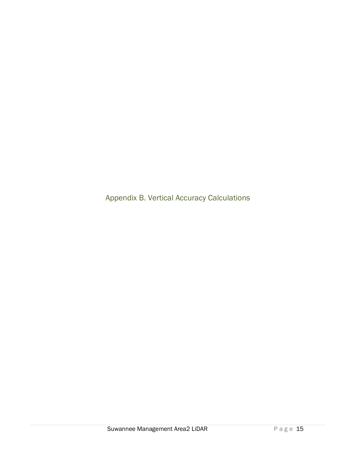Appendix B. Vertical Accuracy Calculations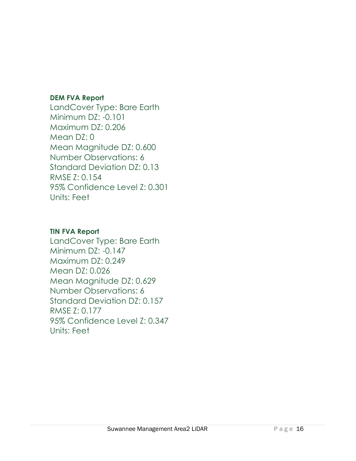## **DEM FVA Report**

LandCover Type: Bare Earth Minimum DZ: -0.101 Maximum DZ: 0.206 Mean DZ: 0 Mean Magnitude DZ: 0.600 Number Observations: 6 Standard Deviation DZ: 0.13 RMSE Z: 0.154 95% Confidence Level Z: 0.301 Units: Feet

# **TIN FVA Report**

LandCover Type: Bare Earth Minimum DZ: -0.147 Maximum DZ: 0.249 Mean DZ: 0.026 Mean Magnitude DZ: 0.629 Number Observations: 6 Standard Deviation DZ: 0.157 RMSE Z: 0.177 95% Confidence Level Z: 0.347 Units: Feet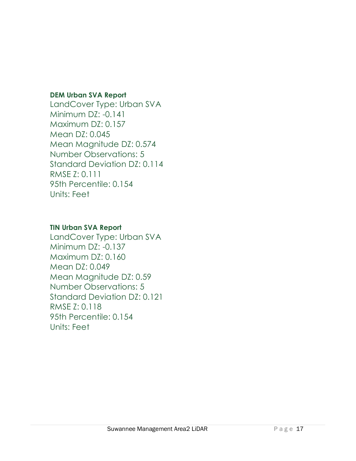## **DEM Urban SVA Report**

LandCover Type: Urban SVA Minimum DZ: -0.141 Maximum DZ: 0.157 Mean DZ: 0.045 Mean Magnitude DZ: 0.574 Number Observations: 5 Standard Deviation DZ: 0.114 RMSE Z: 0.111 95th Percentile: 0.154 Units: Feet

## **TIN Urban SVA Report**

LandCover Type: Urban SVA Minimum DZ: -0.137 Maximum DZ: 0.160 Mean DZ: 0.049 Mean Magnitude DZ: 0.59 Number Observations: 5 Standard Deviation DZ: 0.121 RMSE Z: 0.118 95th Percentile: 0.154 Units: Feet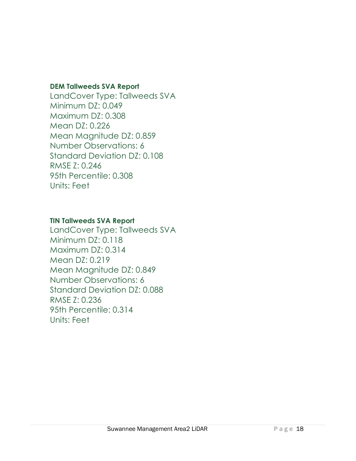## **DEM Tallweeds SVA Report**

LandCover Type: Tallweeds SVA Minimum DZ: 0.049 Maximum DZ: 0.308 Mean DZ: 0.226 Mean Magnitude DZ: 0.859 Number Observations: 6 Standard Deviation DZ: 0.108 RMSE Z: 0.246 95th Percentile: 0.308 Units: Feet

## **TIN Tallweeds SVA Report**

LandCover Type: Tallweeds SVA Minimum DZ: 0.118 Maximum DZ: 0.314 Mean DZ: 0.219 Mean Magnitude DZ: 0.849 Number Observations: 6 Standard Deviation DZ: 0.088 RMSE Z: 0.236 95th Percentile: 0.314 Units: Feet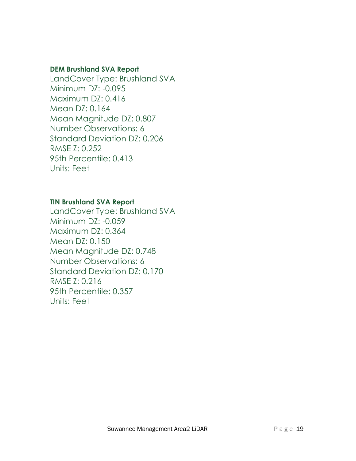## **DEM Brushland SVA Report**

LandCover Type: Brushland SVA Minimum DZ: -0.095 Maximum DZ: 0.416 Mean DZ: 0.164 Mean Magnitude DZ: 0.807 Number Observations: 6 Standard Deviation D7: 0.206 RMSE Z: 0.252 95th Percentile: 0.413 Units: Feet

## **TIN Brushland SVA Report**

LandCover Type: Brushland SVA Minimum DZ: -0.059 Maximum DZ: 0.364 Mean DZ: 0.150 Mean Magnitude DZ: 0.748 Number Observations: 6 Standard Deviation DZ: 0.170 RMSE Z: 0.216 95th Percentile: 0.357 Units: Feet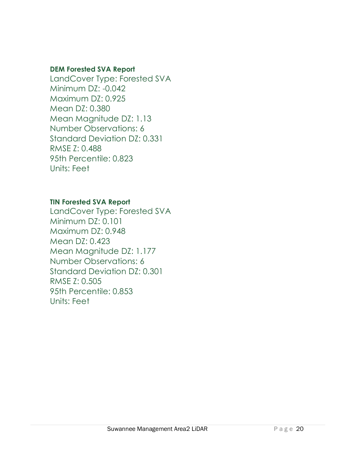## **DEM Forested SVA Report**

LandCover Type: Forested SVA Minimum DZ: -0.042 Maximum DZ: 0.925 Mean DZ: 0.380 Mean Magnitude DZ: 1.13 Number Observations: 6 Standard Deviation D7: 0.331 RMSE Z: 0.488 95th Percentile: 0.823 Units: Feet

## **TIN Forested SVA Report**

LandCover Type: Forested SVA Minimum DZ: 0.101 Maximum DZ: 0.948 Mean DZ: 0.423 Mean Magnitude DZ: 1.177 Number Observations: 6 Standard Deviation DZ: 0.301 RMSE Z: 0.505 95th Percentile: 0.853 Units: Feet